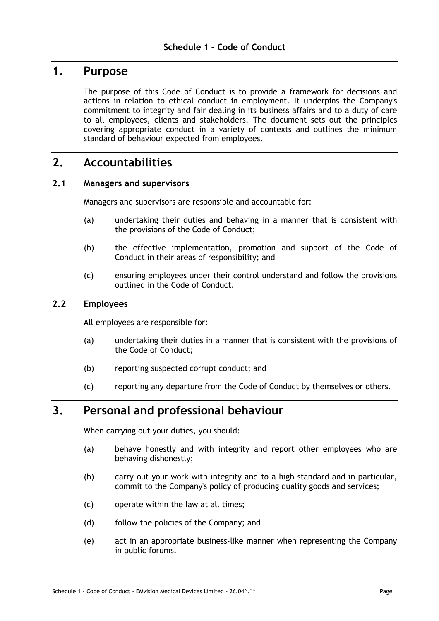#### **1. Purpose**

The purpose of this Code of Conduct is to provide a framework for decisions and actions in relation to ethical conduct in employment. It underpins the Company's commitment to integrity and fair dealing in its business affairs and to a duty of care to all employees, clients and stakeholders. The document sets out the principles covering appropriate conduct in a variety of contexts and outlines the minimum standard of behaviour expected from employees.

### **2. Accountabilities**

#### **2.1 Managers and supervisors**

Managers and supervisors are responsible and accountable for:

- (a) undertaking their duties and behaving in a manner that is consistent with the provisions of the Code of Conduct;
- (b) the effective implementation, promotion and support of the Code of Conduct in their areas of responsibility; and
- (c) ensuring employees under their control understand and follow the provisions outlined in the Code of Conduct.

#### **2.2 Employees**

All employees are responsible for:

- (a) undertaking their duties in a manner that is consistent with the provisions of the Code of Conduct;
- (b) reporting suspected corrupt conduct; and
- (c) reporting any departure from the Code of Conduct by themselves or others.

## **3. Personal and professional behaviour**

When carrying out your duties, you should:

- (a) behave honestly and with integrity and report other employees who are behaving dishonestly;
- (b) carry out your work with integrity and to a high standard and in particular, commit to the Company's policy of producing quality goods and services;
- (c) operate within the law at all times;
- (d) follow the policies of the Company; and
- (e) act in an appropriate business-like manner when representing the Company in public forums.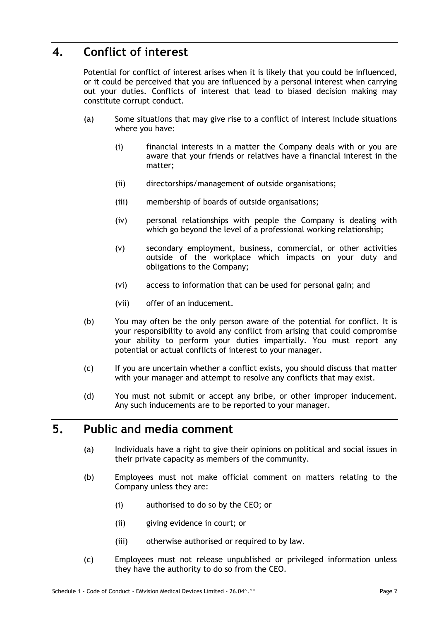# **4. Conflict of interest**

Potential for conflict of interest arises when it is likely that you could be influenced, or it could be perceived that you are influenced by a personal interest when carrying out your duties. Conflicts of interest that lead to biased decision making may constitute corrupt conduct.

- (a) Some situations that may give rise to a conflict of interest include situations where you have:
	- (i) financial interests in a matter the Company deals with or you are aware that your friends or relatives have a financial interest in the matter;
	- (ii) directorships/management of outside organisations;
	- (iii) membership of boards of outside organisations;
	- (iv) personal relationships with people the Company is dealing with which go beyond the level of a professional working relationship;
	- (v) secondary employment, business, commercial, or other activities outside of the workplace which impacts on your duty and obligations to the Company;
	- (vi) access to information that can be used for personal gain; and
	- (vii) offer of an inducement.
- (b) You may often be the only person aware of the potential for conflict. It is your responsibility to avoid any conflict from arising that could compromise your ability to perform your duties impartially. You must report any potential or actual conflicts of interest to your manager.
- (c) If you are uncertain whether a conflict exists, you should discuss that matter with your manager and attempt to resolve any conflicts that may exist.
- (d) You must not submit or accept any bribe, or other improper inducement. Any such inducements are to be reported to your manager.

#### **5. Public and media comment**

- (a) Individuals have a right to give their opinions on political and social issues in their private capacity as members of the community.
- (b) Employees must not make official comment on matters relating to the Company unless they are:
	- (i) authorised to do so by the CEO; or
	- (ii) giving evidence in court; or
	- (iii) otherwise authorised or required to by law.
- (c) Employees must not release unpublished or privileged information unless they have the authority to do so from the CEO.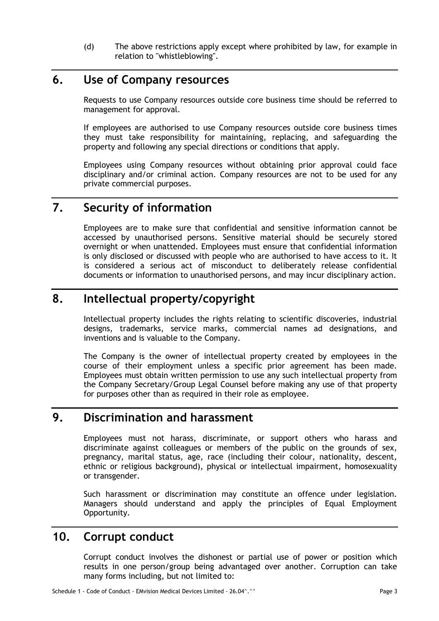(d) The above restrictions apply except where prohibited by law, for example in relation to "whistleblowing".

# **6. Use of Company resources**

Requests to use Company resources outside core business time should be referred to management for approval.

If employees are authorised to use Company resources outside core business times they must take responsibility for maintaining, replacing, and safeguarding the property and following any special directions or conditions that apply.

Employees using Company resources without obtaining prior approval could face disciplinary and/or criminal action. Company resources are not to be used for any private commercial purposes.

# **7. Security of information**

Employees are to make sure that confidential and sensitive information cannot be accessed by unauthorised persons. Sensitive material should be securely stored overnight or when unattended. Employees must ensure that confidential information is only disclosed or discussed with people who are authorised to have access to it. It is considered a serious act of misconduct to deliberately release confidential documents or information to unauthorised persons, and may incur disciplinary action.

### **8. Intellectual property/copyright**

Intellectual property includes the rights relating to scientific discoveries, industrial designs, trademarks, service marks, commercial names ad designations, and inventions and is valuable to the Company.

The Company is the owner of intellectual property created by employees in the course of their employment unless a specific prior agreement has been made. Employees must obtain written permission to use any such intellectual property from the Company Secretary/Group Legal Counsel before making any use of that property for purposes other than as required in their role as employee.

### **9. Discrimination and harassment**

Employees must not harass, discriminate, or support others who harass and discriminate against colleagues or members of the public on the grounds of sex, pregnancy, marital status, age, race (including their colour, nationality, descent, ethnic or religious background), physical or intellectual impairment, homosexuality or transgender.

Such harassment or discrimination may constitute an offence under legislation. Managers should understand and apply the principles of Equal Employment Opportunity.

## **10. Corrupt conduct**

Corrupt conduct involves the dishonest or partial use of power or position which results in one person/group being advantaged over another. Corruption can take many forms including, but not limited to: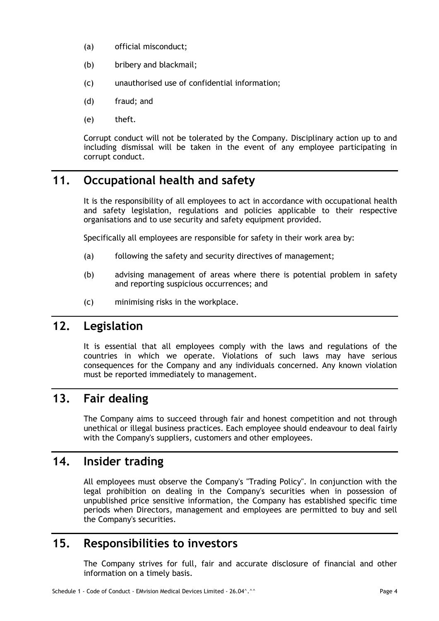- (a) official misconduct;
- (b) bribery and blackmail;
- (c) unauthorised use of confidential information;
- (d) fraud; and
- (e) theft.

Corrupt conduct will not be tolerated by the Company. Disciplinary action up to and including dismissal will be taken in the event of any employee participating in corrupt conduct.

# **11. Occupational health and safety**

It is the responsibility of all employees to act in accordance with occupational health and safety legislation, regulations and policies applicable to their respective organisations and to use security and safety equipment provided.

Specifically all employees are responsible for safety in their work area by:

- (a) following the safety and security directives of management;
- (b) advising management of areas where there is potential problem in safety and reporting suspicious occurrences; and
- (c) minimising risks in the workplace.

## **12. Legislation**

It is essential that all employees comply with the laws and regulations of the countries in which we operate. Violations of such laws may have serious consequences for the Company and any individuals concerned. Any known violation must be reported immediately to management.

## **13. Fair dealing**

The Company aims to succeed through fair and honest competition and not through unethical or illegal business practices. Each employee should endeavour to deal fairly with the Company's suppliers, customers and other employees.

## **14. Insider trading**

All employees must observe the Company's "Trading Policy". In conjunction with the legal prohibition on dealing in the Company's securities when in possession of unpublished price sensitive information, the Company has established specific time periods when Directors, management and employees are permitted to buy and sell the Company's securities.

#### **15. Responsibilities to investors**

The Company strives for full, fair and accurate disclosure of financial and other information on a timely basis.